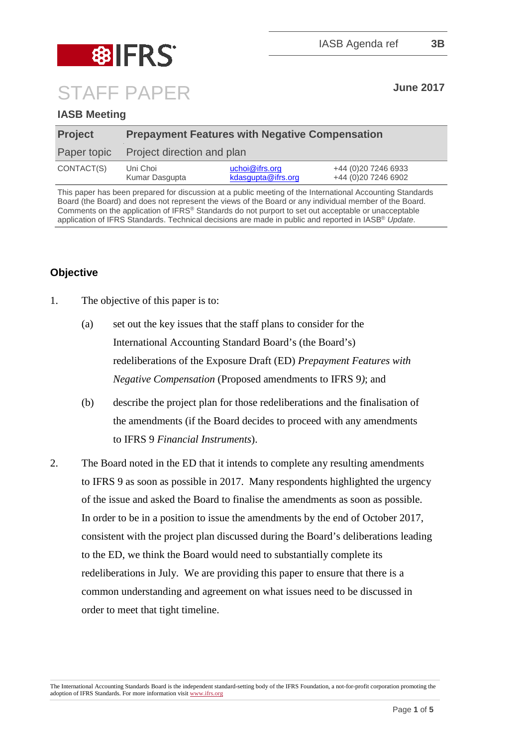

# STAFF PAPER **June <sup>2017</sup>**

# **IASB Meeting**

| <b>Project</b> | <b>Prepayment Features with Negative Compensation</b> |                                                      |                                            |
|----------------|-------------------------------------------------------|------------------------------------------------------|--------------------------------------------|
| Paper topic    | Project direction and plan                            |                                                      |                                            |
| CONTACT(S)     | Uni Choi<br>Kumar Dasgupta                            | $ucho \ddot{\theta}$ if rs.org<br>kdasgupta@ifrs.org | +44 (0)20 7246 6933<br>+44 (0)20 7246 6902 |

This paper has been prepared for discussion at a public meeting of the International Accounting Standards Board (the Board) and does not represent the views of the Board or any individual member of the Board. Comments on the application of IFRS® Standards do not purport to set out acceptable or unacceptable application of IFRS Standards. Technical decisions are made in public and reported in IASB® *Update*.

# **Objective**

- 1. The objective of this paper is to:
	- (a) set out the key issues that the staff plans to consider for the International Accounting Standard Board's (the Board's) redeliberations of the Exposure Draft (ED) *Prepayment Features with Negative Compensation* (Proposed amendments to IFRS 9*)*; and
	- (b) describe the project plan for those redeliberations and the finalisation of the amendments (if the Board decides to proceed with any amendments to IFRS 9 *Financial Instruments*).
- 2. The Board noted in the ED that it intends to complete any resulting amendments to IFRS 9 as soon as possible in 2017. Many respondents highlighted the urgency of the issue and asked the Board to finalise the amendments as soon as possible. In order to be in a position to issue the amendments by the end of October 2017, consistent with the project plan discussed during the Board's deliberations leading to the ED, we think the Board would need to substantially complete its redeliberations in July. We are providing this paper to ensure that there is a common understanding and agreement on what issues need to be discussed in order to meet that tight timeline.

The International Accounting Standards Board is the independent standard-setting body of the IFRS Foundation, a not-for-profit corporation promoting the adoption of IFRS Standards. For more information visi[t www.ifrs.org](http://www.ifrs.org/)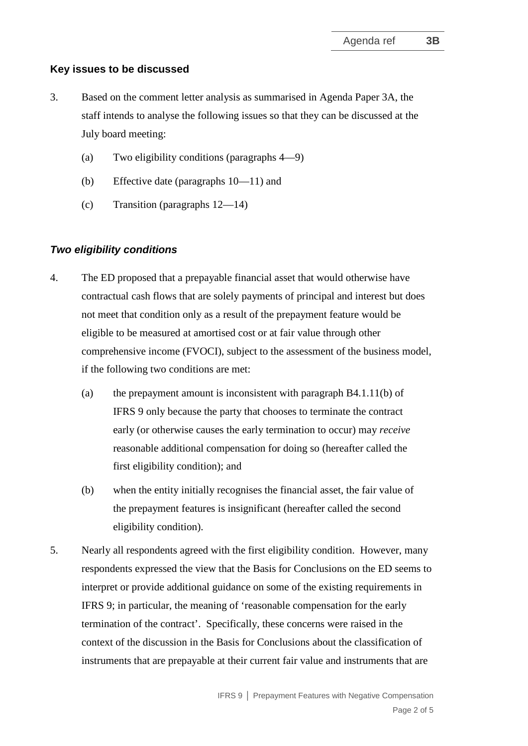#### **Key issues to be discussed**

- 3. Based on the comment letter analysis as summarised in Agenda Paper 3A, the staff intends to analyse the following issues so that they can be discussed at the July board meeting:
	- (a) Two eligibility conditions (paragraphs 4—9)
	- (b) Effective date (paragraphs 10—11) and
	- (c) Transition (paragraphs 12—14)

#### *Two eligibility conditions*

- 4. The ED proposed that a prepayable financial asset that would otherwise have contractual cash flows that are solely payments of principal and interest but does not meet that condition only as a result of the prepayment feature would be eligible to be measured at amortised cost or at fair value through other comprehensive income (FVOCI), subject to the assessment of the business model, if the following two conditions are met:
	- (a) the prepayment amount is inconsistent with paragraph B4.1.11(b) of IFRS 9 only because the party that chooses to terminate the contract early (or otherwise causes the early termination to occur) may *receive* reasonable additional compensation for doing so (hereafter called the first eligibility condition); and
	- (b) when the entity initially recognises the financial asset, the fair value of the prepayment features is insignificant (hereafter called the second eligibility condition).
- 5. Nearly all respondents agreed with the first eligibility condition. However, many respondents expressed the view that the Basis for Conclusions on the ED seems to interpret or provide additional guidance on some of the existing requirements in IFRS 9; in particular, the meaning of 'reasonable compensation for the early termination of the contract'. Specifically, these concerns were raised in the context of the discussion in the Basis for Conclusions about the classification of instruments that are prepayable at their current fair value and instruments that are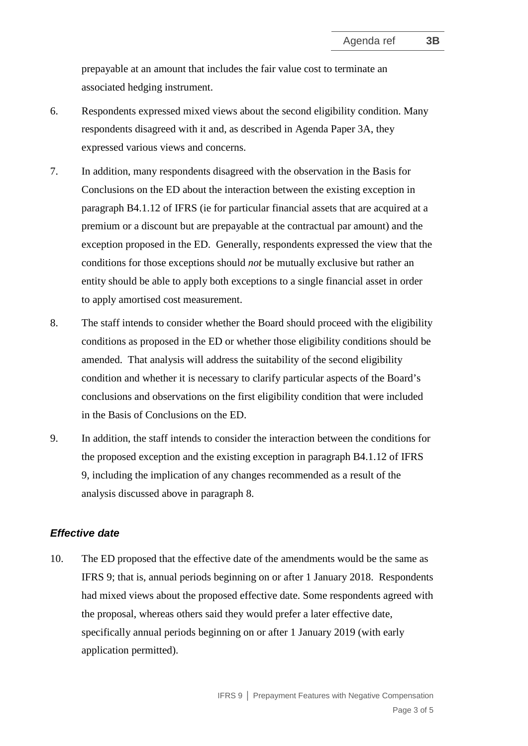prepayable at an amount that includes the fair value cost to terminate an associated hedging instrument.

- 6. Respondents expressed mixed views about the second eligibility condition. Many respondents disagreed with it and, as described in Agenda Paper 3A, they expressed various views and concerns.
- 7. In addition, many respondents disagreed with the observation in the Basis for Conclusions on the ED about the interaction between the existing exception in paragraph B4.1.12 of IFRS (ie for particular financial assets that are acquired at a premium or a discount but are prepayable at the contractual par amount) and the exception proposed in the ED. Generally, respondents expressed the view that the conditions for those exceptions should *not* be mutually exclusive but rather an entity should be able to apply both exceptions to a single financial asset in order to apply amortised cost measurement.
- 8. The staff intends to consider whether the Board should proceed with the eligibility conditions as proposed in the ED or whether those eligibility conditions should be amended. That analysis will address the suitability of the second eligibility condition and whether it is necessary to clarify particular aspects of the Board's conclusions and observations on the first eligibility condition that were included in the Basis of Conclusions on the ED.
- 9. In addition, the staff intends to consider the interaction between the conditions for the proposed exception and the existing exception in paragraph B4.1.12 of IFRS 9, including the implication of any changes recommended as a result of the analysis discussed above in paragraph 8.

#### *Effective date*

10. The ED proposed that the effective date of the amendments would be the same as IFRS 9; that is, annual periods beginning on or after 1 January 2018. Respondents had mixed views about the proposed effective date. Some respondents agreed with the proposal, whereas others said they would prefer a later effective date, specifically annual periods beginning on or after 1 January 2019 (with early application permitted).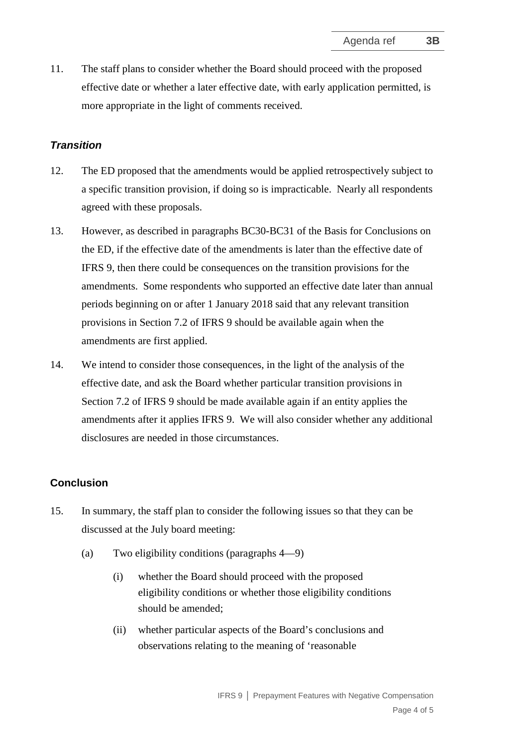11. The staff plans to consider whether the Board should proceed with the proposed effective date or whether a later effective date, with early application permitted, is more appropriate in the light of comments received.

### *Transition*

- 12. The ED proposed that the amendments would be applied retrospectively subject to a specific transition provision, if doing so is impracticable. Nearly all respondents agreed with these proposals.
- 13. However, as described in paragraphs BC30-BC31 of the Basis for Conclusions on the ED, if the effective date of the amendments is later than the effective date of IFRS 9, then there could be consequences on the transition provisions for the amendments. Some respondents who supported an effective date later than annual periods beginning on or after 1 January 2018 said that any relevant transition provisions in Section 7.2 of IFRS 9 should be available again when the amendments are first applied.
- 14. We intend to consider those consequences, in the light of the analysis of the effective date, and ask the Board whether particular transition provisions in Section 7.2 of IFRS 9 should be made available again if an entity applies the amendments after it applies IFRS 9. We will also consider whether any additional disclosures are needed in those circumstances.

#### **Conclusion**

- 15. In summary, the staff plan to consider the following issues so that they can be discussed at the July board meeting:
	- (a) Two eligibility conditions (paragraphs 4—9)
		- (i) whether the Board should proceed with the proposed eligibility conditions or whether those eligibility conditions should be amended;
		- (ii) whether particular aspects of the Board's conclusions and observations relating to the meaning of 'reasonable